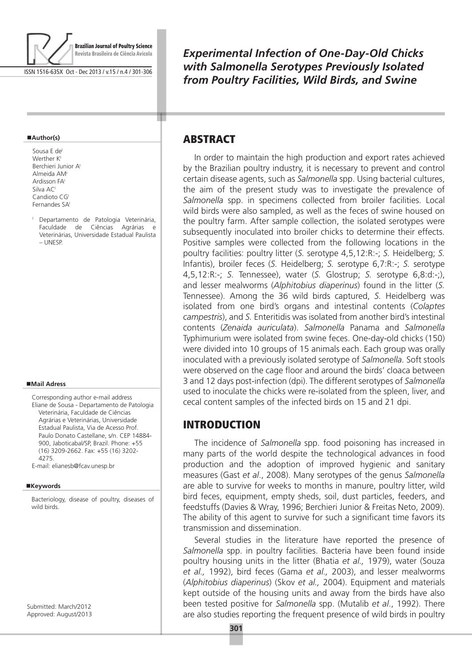

ISSN 1516-635X Oct - Dec 2013 / v.15 / n.4 / 301-306

#### **Author(s)**

- Sousa E de Werther K<sup>I</sup> Berchieri Junior AI Almeida AMI Ardisson FAI Silva ACI Candioto CGI Fernandes SA
- <sup>I</sup> Departamento de Patologia Veterinária, Faculdade de Ciências Agrárias e Veterinárias, Universidade Estadual Paulista – UNESP.

#### **Mail Adress**

Corresponding author e-mail address Eliane de Sousa - Departamento de Patologia Veterinária, Faculdade de Ciências Agrárias e Veterinárias, Universidade Estadual Paulista, Via de Acesso Prof. Paulo Donato Castellane, s/n. CEP 14884- 900, Jaboticabal/SP, Brazil. Phone: +55 (16) 3209-2662. Fax: +55 (16) 3202- 4275.

E-mail: elianesb@fcav.unesp.br

#### **Keywords**

Bacteriology, disease of poultry, diseases of wild birds.

Submitted: March/2012 Approved: August/2013 *Experimental Infection of One-Day-Old Chicks with Salmonella Serotypes Previously Isolated from Poultry Facilities, Wild Birds, and Swine*

# **ABSTRACT**

т

In order to maintain the high production and export rates achieved by the Brazilian poultry industry, it is necessary to prevent and control certain disease agents, such as *Salmonella* spp. Using bacterial cultures, the aim of the present study was to investigate the prevalence of *Salmonella* spp. in specimens collected from broiler facilities. Local wild birds were also sampled, as well as the feces of swine housed on the poultry farm. After sample collection, the isolated serotypes were subsequently inoculated into broiler chicks to determine their effects. Positive samples were collected from the following locations in the poultry facilities: poultry litter (*S.* serotype 4,5,12:R:-; *S.* Heidelberg; *S.*  Infantis), broiler feces (*S.* Heidelberg; *S.* serotype 6,7:R:-; *S.* serotype 4,5,12:R:-; *S.* Tennessee), water (*S.* Glostrup; *S.* serotype 6,8:d:-;), and lesser mealworms (*Alphitobius diaperinus*) found in the litter (*S.*  Tennessee). Among the 36 wild birds captured, *S.* Heidelberg was isolated from one bird's organs and intestinal contents (*Colaptes campestris*), and *S.* Enteritidis was isolated from another bird's intestinal contents (*Zenaida auriculata*). *Salmonella* Panama and *Salmonella*  Typhimurium were isolated from swine feces. One-day-old chicks (150) were divided into 10 groups of 15 animals each. Each group was orally inoculated with a previously isolated serotype of *Salmonella.* Soft stools were observed on the cage floor and around the birds' cloaca between 3 and 12 days post-infection (dpi). The different serotypes of *Salmonella* used to inoculate the chicks were re-isolated from the spleen, liver, and cecal content samples of the infected birds on 15 and 21 dpi.

### **INTRODUCTION**

The incidence of *Salmonella* spp. food poisoning has increased in many parts of the world despite the technological advances in food production and the adoption of improved hygienic and sanitary measures (Gast *et al*., 2008). Many serotypes of the genus *Salmonella* are able to survive for weeks to months in manure, poultry litter, wild bird feces, equipment, empty sheds, soil, dust particles, feeders, and feedstuffs (Davies & Wray, 1996; Berchieri Junior & Freitas Neto, 2009). The ability of this agent to survive for such a significant time favors its transmission and dissemination.

Several studies in the literature have reported the presence of *Salmonella* spp. in poultry facilities. Bacteria have been found inside poultry housing units in the litter (Bhatia *et al.,* 1979), water (Souza *et al.,* 1992), bird feces (Gama *et al.,* 2003), and lesser mealworms (*Alphitobius diaperinus*) (Skov *et al.,* 2004). Equipment and materials kept outside of the housing units and away from the birds have also been tested positive for *Salmonella* spp. (Mutalib *et al*., 1992). There are also studies reporting the frequent presence of wild birds in poultry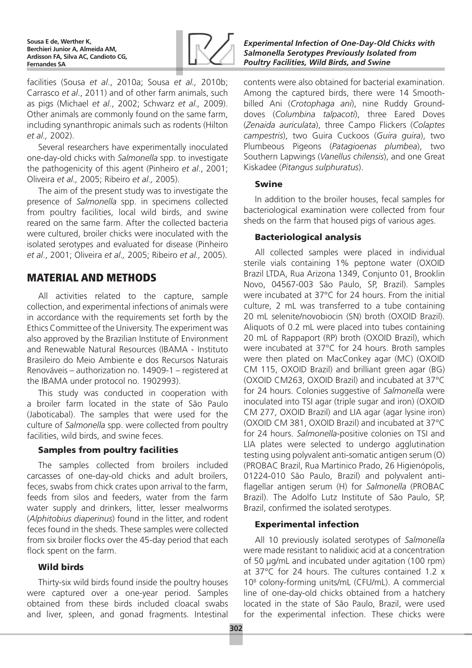

facilities (Sousa *et al*., 2010a; Sousa *et al.,* 2010b; Carrasco *et al*., 2011) and of other farm animals, such as pigs (Michael *et al*., 2002; Schwarz *et al.,* 2009). Other animals are commonly found on the same farm, including synanthropic animals such as rodents (Hilton *et al.,* 2002).

Several researchers have experimentally inoculated one-day-old chicks with *Salmonella* spp. to investigate the pathogenicity of this agent (Pinheiro *et al*., 2001; Oliveira *et al.,* 2005; Ribeiro *et al.,* 2005).

The aim of the present study was to investigate the presence of *Salmonella* spp. in specimens collected from poultry facilities, local wild birds, and swine reared on the same farm. After the collected bacteria were cultured, broiler chicks were inoculated with the isolated serotypes and evaluated for disease (Pinheiro *et al*., 2001; Oliveira *et al.,* 2005; Ribeiro *et al.,* 2005).

# Material and methods

All activities related to the capture, sample collection, and experimental infections of animals were in accordance with the requirements set forth by the Ethics Committee of the University. The experiment was also approved by the Brazilian Institute of Environment and Renewable Natural Resources (IBAMA - Instituto Brasileiro do Meio Ambiente e dos Recursos Naturais Renováveis – authorization no. 14909-1 – registered at the IBAMA under protocol no. 1902993).

This study was conducted in cooperation with a broiler farm located in the state of São Paulo (Jaboticabal). The samples that were used for the culture of *Salmonella* spp. were collected from poultry facilities, wild birds, and swine feces.

### Samples from poultry facilities

The samples collected from broilers included carcasses of one-day-old chicks and adult broilers, feces, swabs from chick crates upon arrival to the farm, feeds from silos and feeders, water from the farm water supply and drinkers, litter, lesser mealworms (*Alphitobius diaperinus*) found in the litter, and rodent feces found in the sheds. These samples were collected from six broiler flocks over the 45-day period that each flock spent on the farm.

#### Wild birds

Thirty-six wild birds found inside the poultry houses were captured over a one-year period. Samples obtained from these birds included cloacal swabs and liver, spleen, and gonad fragments. Intestinal *Experimental Infection of One-Day-Old Chicks with Salmonella Serotypes Previously Isolated from Poultry Facilities, Wild Birds, and Swine*

contents were also obtained for bacterial examination. Among the captured birds, there were 14 Smoothbilled Ani (*Crotophaga ani*), nine Ruddy Grounddoves (*Columbina talpacoti*), three Eared Doves (*Zenaida auriculata*), three Campo Flickers (*Colaptes campestris*), two Guira Cuckoos (*Guira guira*), two Plumbeous Pigeons (*Patagioenas plumbea*), two Southern Lapwings (*Vanellus chilensis*), and one Great Kiskadee (*Pitangus sulphuratus*).

#### Swine

In addition to the broiler houses, fecal samples for bacteriological examination were collected from four sheds on the farm that housed pigs of various ages.

#### Bacteriological analysis

All collected samples were placed in individual sterile vials containing 1% peptone water (OXOID Brazil LTDA, Rua Arizona 1349, Conjunto 01, Brooklin Novo, 04567-003 São Paulo, SP, Brazil). Samples were incubated at 37°C for 24 hours. From the initial culture, 2 mL was transferred to a tube containing 20 mL selenite/novobiocin (SN) broth (OXOID Brazil). Aliquots of 0.2 mL were placed into tubes containing 20 mL of Rappaport (RP) broth (OXOID Brazil), which were incubated at 37°C for 24 hours. Broth samples were then plated on MacConkey agar (MC) (OXOID CM 115, OXOID Brazil) and brilliant green agar (BG) (OXOID CM263, OXOID Brazil) and incubated at 37°C for 24 hours. Colonies suggestive of *Salmonella* were inoculated into TSI agar (triple sugar and iron) (OXOID CM 277, OXOID Brazil) and LIA agar (agar lysine iron) (OXOID CM 381, OXOID Brazil) and incubated at 37°C for 24 hours. *Salmonella*-positive colonies on TSI and LIA plates were selected to undergo agglutination testing using polyvalent anti-somatic antigen serum (O) (PROBAC Brazil, Rua Martinico Prado, 26 Higienópolis, 01224-010 São Paulo, Brazil) and polyvalent antiflagellar antigen serum (H) for *Salmonella* (PROBAC Brazil). The Adolfo Lutz Institute of São Paulo, SP, Brazil, confirmed the isolated serotypes.

### Experimental infection

All 10 previously isolated serotypes of *Salmonella* were made resistant to nalidixic acid at a concentration of 50 μg/mL and incubated under agitation (100 rpm) at 37°C for 24 hours. The cultures contained 1.2 x 108 colony-forming units/mL (CFU/mL). A commercial line of one-day-old chicks obtained from a hatchery located in the state of São Paulo, Brazil, were used for the experimental infection. These chicks were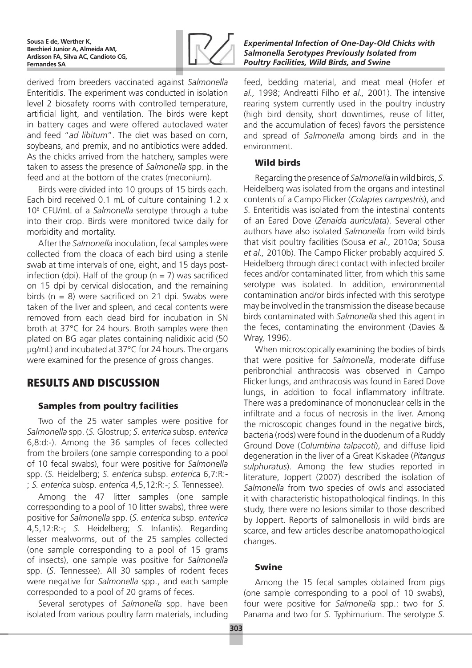

derived from breeders vaccinated against *Salmonella* Enteritidis. The experiment was conducted in isolation level 2 biosafety rooms with controlled temperature, artificial light, and ventilation. The birds were kept in battery cages and were offered autoclaved water and feed "*ad libitum*". The diet was based on corn, soybeans, and premix, and no antibiotics were added. As the chicks arrived from the hatchery, samples were taken to assess the presence of *Salmonella* spp. in the feed and at the bottom of the crates (meconium).

Birds were divided into 10 groups of 15 birds each. Each bird received 0.1 mL of culture containing 1.2 x 108 CFU/mL of a *Salmonella* serotype through a tube into their crop. Birds were monitored twice daily for morbidity and mortality.

After the *Salmonella* inoculation, fecal samples were collected from the cloaca of each bird using a sterile swab at time intervals of one, eight, and 15 days postinfection (dpi). Half of the group ( $n = 7$ ) was sacrificed on 15 dpi by cervical dislocation, and the remaining birds ( $n = 8$ ) were sacrificed on 21 dpi. Swabs were taken of the liver and spleen, and cecal contents were removed from each dead bird for incubation in SN broth at 37°C for 24 hours. Broth samples were then plated on BG agar plates containing nalidixic acid (50 µg/mL) and incubated at 37°C for 24 hours. The organs were examined for the presence of gross changes.

# Results and discussion

# Samples from poultry facilities

Two of the 25 water samples were positive for *Salmonella* spp. (*S.* Glostrup; *S. enterica* subsp. *enterica* 6,8:d:-). Among the 36 samples of feces collected from the broilers (one sample corresponding to a pool of 10 fecal swabs), four were positive for *Salmonella* spp. (*S.* Heidelberg; *S. enterica* subsp. *enterica* 6,7:R:- ; *S. enterica* subsp. *enterica* 4,5,12:R:-; *S.* Tennessee).

Among the 47 litter samples (one sample corresponding to a pool of 10 litter swabs), three were positive for *Salmonella* spp. (*S. enterica* subsp. *enterica* 4,5,12:R:-; *S.* Heidelberg; *S.* Infantis). Regarding lesser mealworms, out of the 25 samples collected (one sample corresponding to a pool of 15 grams of insects), one sample was positive for *Salmonella* spp. (*S.* Tennessee). All 30 samples of rodent feces were negative for *Salmonella* spp., and each sample corresponded to a pool of 20 grams of feces.

Several serotypes of *Salmonella* spp. have been isolated from various poultry farm materials, including

#### *Experimental Infection of One-Day-Old Chicks with Salmonella Serotypes Previously Isolated from Poultry Facilities, Wild Birds, and Swine*

feed, bedding material, and meat meal (Hofer *et al.,* 1998; Andreatti Filho *et al.,* 2001). The intensive rearing system currently used in the poultry industry (high bird density, short downtimes, reuse of litter, and the accumulation of feces) favors the persistence and spread of *Salmonella* among birds and in the environment.

### Wild birds

Regarding the presence of *Salmonella* in wild birds, *S.*  Heidelberg was isolated from the organs and intestinal contents of a Campo Flicker (*Colaptes campestris*), and *S.* Enteritidis was isolated from the intestinal contents of an Eared Dove (*Zenaida auriculata*). Several other authors have also isolated *Salmonella* from wild birds that visit poultry facilities (Sousa *et al*., 2010a; Sousa *et al.,* 2010b). The Campo Flicker probably acquired *S.*  Heidelberg through direct contact with infected broiler feces and/or contaminated litter, from which this same serotype was isolated. In addition, environmental contamination and/or birds infected with this serotype may be involved in the transmission the disease because birds contaminated with *Salmonella* shed this agent in the feces, contaminating the environment (Davies & Wray, 1996).

When microscopically examining the bodies of birds that were positive for *Salmonella*, moderate diffuse peribronchial anthracosis was observed in Campo Flicker lungs, and anthracosis was found in Eared Dove lungs, in addition to focal inflammatory infiltrate. There was a predominance of mononuclear cells in the infiltrate and a focus of necrosis in the liver. Among the microscopic changes found in the negative birds, bacteria (rods) were found in the duodenum of a Ruddy Ground Dove (*Columbina talpacoti*), and diffuse lipid degeneration in the liver of a Great Kiskadee (*Pitangus sulphuratus*). Among the few studies reported in literature, Joppert (2007) described the isolation of *Salmonella* from two species of owls and associated it with characteristic histopathological findings. In this study, there were no lesions similar to those described by Joppert. Reports of salmonellosis in wild birds are scarce, and few articles describe anatomopathological changes.

# Swine

Among the 15 fecal samples obtained from pigs (one sample corresponding to a pool of 10 swabs), four were positive for *Salmonella* spp.: two for *S.*  Panama and two for *S.* Typhimurium. The serotype *S.*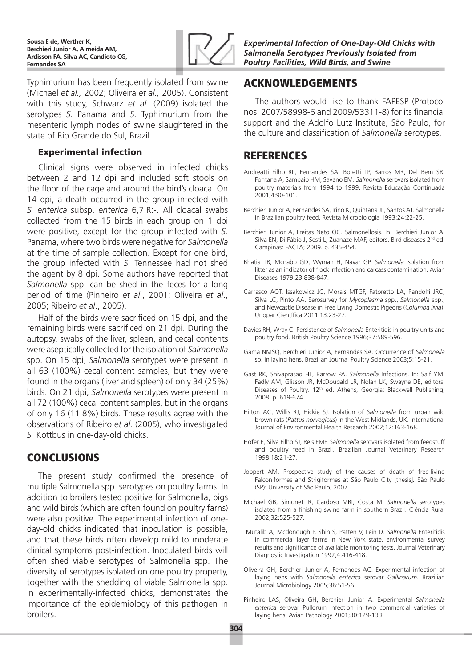**Sousa E de, Werther K, Berchieri Junior A, Almeida AM, Ardisson FA, Silva AC, Candioto CG, Fernandes SA**



Typhimurium has been frequently isolated from swine (Michael *et al.,* 2002; Oliveira *et al.,* 2005). Consistent with this study, Schwarz *et al.* (2009) isolated the serotypes *S.* Panama and *S.* Typhimurium from the mesenteric lymph nodes of swine slaughtered in the state of Rio Grande do Sul, Brazil.

#### Experimental infection

Clinical signs were observed in infected chicks between 2 and 12 dpi and included soft stools on the floor of the cage and around the bird's cloaca. On 14 dpi, a death occurred in the group infected with *S. enterica* subsp. *enterica* 6,7:R:-. All cloacal swabs collected from the 15 birds in each group on 1 dpi were positive, except for the group infected with *S.*  Panama, where two birds were negative for *Salmonella* at the time of sample collection. Except for one bird, the group infected with *S.* Tennessee had not shed the agent by 8 dpi. Some authors have reported that *Salmonella* spp. can be shed in the feces for a long period of time (Pinheiro *et al*., 2001; Oliveira *et al*., 2005; Ribeiro *et al*., 2005).

Half of the birds were sacrificed on 15 dpi, and the remaining birds were sacrificed on 21 dpi. During the autopsy, swabs of the liver, spleen, and cecal contents were aseptically collected for the isolation of *Salmonella* spp. On 15 dpi, *Salmonella* serotypes were present in all 63 (100%) cecal content samples, but they were found in the organs (liver and spleen) of only 34 (25%) birds. On 21 dpi, *Salmonella* serotypes were present in all 72 (100%) cecal content samples, but in the organs of only 16 (11.8%) birds. These results agree with the observations of Ribeiro *et al.* (2005), who investigated *S.* Kottbus in one-day-old chicks.

# **CONCLUSIONS**

The present study confirmed the presence of multiple Salmonella spp. serotypes on poultry farms. In addition to broilers tested positive for Salmonella, pigs and wild birds (which are often found on poultry farns) were also positive. The experimental infection of oneday-old chicks indicated that inoculation is possible, and that these birds often develop mild to moderate clinical symptoms post-infection. Inoculated birds will often shed viable serotypes of Salmonella spp. The diversity of serotypes isolated on one poultry property, together with the shedding of viable Salmonella spp. in experimentally-infected chicks, demonstrates the importance of the epidemiology of this pathogen in broilers.

*Experimental Infection of One-Day-Old Chicks with Salmonella Serotypes Previously Isolated from Poultry Facilities, Wild Birds, and Swine*

# Acknowledgements

The authors would like to thank FAPESP (Protocol nos. 2007/58998-6 and 2009/53311-8) for its financial support and the Adolfo Lutz Institute, São Paulo, for the culture and classification of *Salmonella* serotypes.

# **REFERENCES**

- Andreatti Filho RL, Fernandes SA, Boretti LP, Barros MR, Del Bem SR, Fontana A, Sampaio HM, Savano EM. *Salmonella* serovars isolated from poultry materials from 1994 to 1999. Revista Educação Continuada 2001;4:90-101.
- Berchieri Junior A, Fernandes SA, Irino K, Quintana JL, Santos AJ. Salmonella in Brazilian poultry feed. Revista Microbiologia 1993;24:22-25.
- Berchieri Junior A, Freitas Neto OC. Salmonellosis. In: Berchieri Junior A, Silva EN, Di Fábio J, Sesti L, Zuanaze MAF, editors. Bird diseases 2<sup>nd</sup> ed. Campinas: FACTA; 2009. p. 435-454.
- Bhatia TR, Mcnabb GD, Wyman H, Nayar GP. *Salmonella* isolation from litter as an indicator of flock infection and carcass contamination. Avian Diseases 1979;23:838-847.
- Carrasco AOT, Issakowicz JC, Morais MTGF, Fatoretto LA, Pandolfi JRC, Silva LC, Pinto AA. Serosurvey for *Mycoplasma* spp., *Salmonella* spp., and Newcastle Disease in Free Living Domestic Pigeons (*Columba livia*). Unopar Científica 2011;13:23-27.
- Davies RH, Wray C. Persistence of *Salmonella* Enteritidis in poultry units and poultry food. British Poultry Science 1996;37:589-596.
- Gama NMSQ, Berchieri Junior A, Fernandes SA. Occurrence of *Salmonella*  sp. in laying hens. Brazilian Journal Poultry Science 2003;5:15-21.
- Gast RK, Shivaprasad HL, Barrow PA. *Salmonella* Infections. In: Saif YM, Fadly AM, Glisson JR, McDougald LR, Nolan LK, Swayne DE, editors. Diseases of Poultry. 12<sup>th</sup> ed. Athens, Georgia: Blackwell Publishing; 2008. p. 619-674.
- Hilton AC, Willis RJ, Hickie SJ. Isolation of *Salmonella* from urban wild brown rats (*Rattus norvegicus*) in the West Midlands, UK. International Journal of Environmental Health Research 2002;12:163-168.
- Hofer E, Silva Filho SJ, Reis EMF. *Salmonella* serovars isolated from feedstuff and poultry feed in Brazil. Brazilian Journal Veterinary Research 1998;18:21-27.
- Joppert AM. Prospective study of the causes of death of free-living Falconiformes and Strigiformes at São Paulo City [thesis]*.* São Paulo (SP): University of São Paulo; 2007.
- Michael GB, Simoneti R, Cardoso MRI, Costa M. *Salmonella* serotypes isolated from a finishing swine farm in southern Brazil. Ciência Rural 2002;32:525-527.
- Mutalib A, Mcdonough P, Shin S, Patten V, Lein D. *Salmonella* Enteritidis in commercial layer farms in New York state, environmental survey results and significance of available monitoring tests. Journal Veterinary Diagnostic Investigation 1992;4:416-418.
- Oliveira GH, Berchieri Junior A, Fernandes AC. Experimental infection of laying hens with *Salmonella enterica* serovar *Gallinarum*. Brazilian Journal Microbiology 2005;36:51-56.
- Pinheiro LAS, Oliveira GH, Berchieri Junior A. Experimental *Salmonella enterica* serovar Pullorum infection in two commercial varieties of laying hens. Avian Pathology 2001;30:129-133.